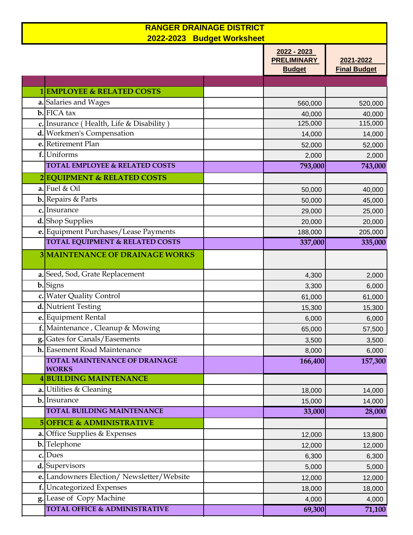| <b>RANGER DRAINAGE DISTRICT</b><br>2022-2023 Budget Worksheet |                                                      |                                                    |                                  |  |  |
|---------------------------------------------------------------|------------------------------------------------------|----------------------------------------------------|----------------------------------|--|--|
|                                                               |                                                      | 2022 - 2023<br><b>PRELIMINARY</b><br><b>Budget</b> | 2021-2022<br><b>Final Budget</b> |  |  |
|                                                               |                                                      |                                                    |                                  |  |  |
|                                                               | <b>EMPLOYEE &amp; RELATED COSTS</b>                  |                                                    |                                  |  |  |
|                                                               | a. Salaries and Wages                                | 560,000                                            | 520,000                          |  |  |
|                                                               | <b>b.</b> FICA tax                                   | 40,000                                             | 40,000                           |  |  |
| c.                                                            | Insurance (Health, Life & Disability)                | 125,000                                            | 115,000                          |  |  |
|                                                               | d. Workmen's Compensation                            | 14,000                                             | 14,000                           |  |  |
|                                                               | e. Retirement Plan                                   | 52,000                                             | 52,000                           |  |  |
|                                                               | f. Uniforms                                          | 2,000                                              | 2,000                            |  |  |
|                                                               | <b>TOTAL EMPLOYEE &amp; RELATED COSTS</b>            | 793,000                                            | 743,000                          |  |  |
|                                                               | 2EQUIPMENT & RELATED COSTS                           |                                                    |                                  |  |  |
|                                                               | $a$ . Fuel & Oil                                     | 50,000                                             | 40,000                           |  |  |
|                                                               | <b>b.</b> Repairs & Parts                            | 50,000                                             | 45,000                           |  |  |
|                                                               | c. Insurance                                         | 29,000                                             | 25,000                           |  |  |
|                                                               | d. Shop Supplies                                     | 20,000                                             | 20,000                           |  |  |
|                                                               | e. Equipment Purchases/Lease Payments                | 188,000                                            | 205,000                          |  |  |
|                                                               | <b>TOTAL EQUIPMENT &amp; RELATED COSTS</b>           | 337,000                                            | 335,000                          |  |  |
|                                                               | <b>3 MAINTENANCE OF DRAINAGE WORKS</b>               |                                                    |                                  |  |  |
|                                                               | a. Seed, Sod, Grate Replacement                      | 4,300                                              | 2,000                            |  |  |
|                                                               | <b>b.</b> Signs                                      | 3,300                                              | 6,000                            |  |  |
|                                                               | c. Water Quality Control                             | 61,000                                             | 61,000                           |  |  |
|                                                               | d. Nutrient Testing                                  | 15,300                                             | 15,300                           |  |  |
|                                                               | e. Equipment Rental                                  | 6,000                                              | 6,000                            |  |  |
|                                                               | f. Maintenance, Cleanup & Mowing                     | 65,000                                             | 57,500                           |  |  |
|                                                               | g. Gates for Canals/Easements                        | 3,500                                              | 3,500                            |  |  |
|                                                               | h. Easement Road Maintenance                         | 8,000                                              | 6,000                            |  |  |
|                                                               | <b>TOTAL MAINTENANCE OF DRAINAGE</b><br><b>WORKS</b> | 166,400                                            | 157,300                          |  |  |
|                                                               | <b>4BUILDING MAINTENANCE</b>                         |                                                    |                                  |  |  |
|                                                               | a. Utilities & Cleaning                              | 18,000                                             | 14,000                           |  |  |
|                                                               | b. Insurance                                         | 15,000                                             | 14,000                           |  |  |
|                                                               | TOTAL BUILDING MAINTENANCE                           | 33,000                                             | 28,000                           |  |  |
|                                                               | <b>5 OFFICE &amp; ADMINISTRATIVE</b>                 |                                                    |                                  |  |  |
|                                                               | a. Office Supplies & Expenses                        | 12,000                                             | 13,800                           |  |  |
|                                                               | <b>b.</b> Telephone                                  | 12,000                                             | 12,000                           |  |  |
|                                                               | c. Dues                                              | 6,300                                              | 6,300                            |  |  |
|                                                               | d. Supervisors                                       | 5,000                                              | 5,000                            |  |  |
|                                                               | e. Landowners Election/Newsletter/Website            | 12,000                                             | 12,000                           |  |  |
|                                                               | f. Uncategorized Expenses                            | 18,000                                             | 18,000                           |  |  |
|                                                               | g. Lease of Copy Machine                             | 4,000                                              | 4,000                            |  |  |
|                                                               | <b>TOTAL OFFICE &amp; ADMINISTRATIVE</b>             | 69,300                                             | 71,100                           |  |  |